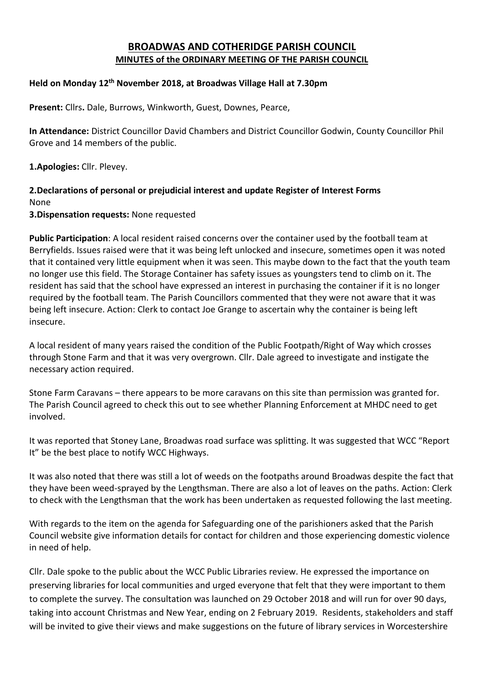# **BROADWAS AND COTHERIDGE PARISH COUNCIL MINUTES of the ORDINARY MEETING OF THE PARISH COUNCIL**

#### **Held on Monday 12th November 2018, at Broadwas Village Hall at 7.30pm**

**Present:** Cllrs**.** Dale, Burrows, Winkworth, Guest, Downes, Pearce,

**In Attendance:** District Councillor David Chambers and District Councillor Godwin, County Councillor Phil Grove and 14 members of the public.

**1.Apologies:** Cllr. Plevey.

#### **2.Declarations of personal or prejudicial interest and update Register of Interest Forms** None **3.Dispensation requests:** None requested

**Public Participation**: A local resident raised concerns over the container used by the football team at Berryfields. Issues raised were that it was being left unlocked and insecure, sometimes open it was noted that it contained very little equipment when it was seen. This maybe down to the fact that the youth team no longer use this field. The Storage Container has safety issues as youngsters tend to climb on it. The resident has said that the school have expressed an interest in purchasing the container if it is no longer required by the football team. The Parish Councillors commented that they were not aware that it was being left insecure. Action: Clerk to contact Joe Grange to ascertain why the container is being left insecure.

A local resident of many years raised the condition of the Public Footpath/Right of Way which crosses through Stone Farm and that it was very overgrown. Cllr. Dale agreed to investigate and instigate the necessary action required.

Stone Farm Caravans – there appears to be more caravans on this site than permission was granted for. The Parish Council agreed to check this out to see whether Planning Enforcement at MHDC need to get involved.

It was reported that Stoney Lane, Broadwas road surface was splitting. It was suggested that WCC "Report It" be the best place to notify WCC Highways.

It was also noted that there was still a lot of weeds on the footpaths around Broadwas despite the fact that they have been weed-sprayed by the Lengthsman. There are also a lot of leaves on the paths. Action: Clerk to check with the Lengthsman that the work has been undertaken as requested following the last meeting.

With regards to the item on the agenda for Safeguarding one of the parishioners asked that the Parish Council website give information details for contact for children and those experiencing domestic violence in need of help.

Cllr. Dale spoke to the public about the WCC Public Libraries review. He expressed the importance on preserving libraries for local communities and urged everyone that felt that they were important to them to complete the survey. The consultation was launched on 29 October 2018 and will run for over 90 days, taking into account Christmas and New Year, ending on 2 February 2019. Residents, stakeholders and staff will be invited to give their views and make suggestions on the future of library services in Worcestershire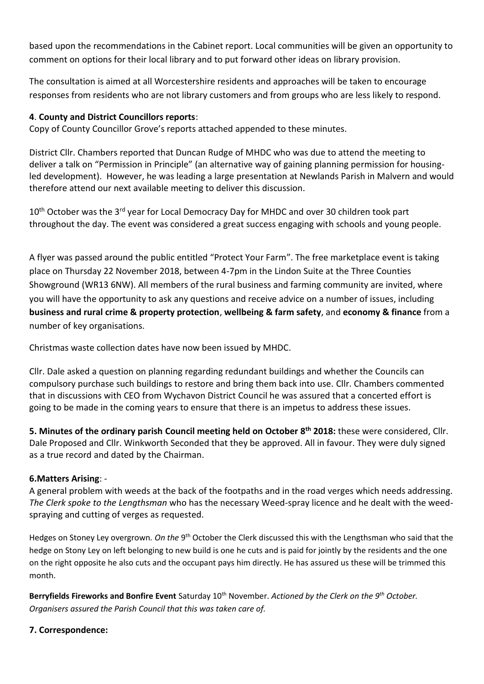based upon the recommendations in the Cabinet report. Local communities will be given an opportunity to comment on options for their local library and to put forward other ideas on library provision.

The consultation is aimed at all Worcestershire residents and approaches will be taken to encourage responses from residents who are not library customers and from groups who are less likely to respond.

## **4**. **County and District Councillors reports**:

Copy of County Councillor Grove's reports attached appended to these minutes.

District Cllr. Chambers reported that Duncan Rudge of MHDC who was due to attend the meeting to deliver a talk on "Permission in Principle" (an alternative way of gaining planning permission for housingled development). However, he was leading a large presentation at Newlands Parish in Malvern and would therefore attend our next available meeting to deliver this discussion.

10<sup>th</sup> October was the 3<sup>rd</sup> year for Local Democracy Day for MHDC and over 30 children took part throughout the day. The event was considered a great success engaging with schools and young people.

A flyer was passed around the public entitled "Protect Your Farm". The free marketplace event is taking place on Thursday 22 November 2018, between 4-7pm in the Lindon Suite at the Three Counties Showground (WR13 6NW). All members of the rural business and farming community are invited, where you will have the opportunity to ask any questions and receive advice on a number of issues, including **business and rural crime & property protection**, **wellbeing & farm safety**, and **economy & finance** from a number of key organisations.

Christmas waste collection dates have now been issued by MHDC.

Cllr. Dale asked a question on planning regarding redundant buildings and whether the Councils can compulsory purchase such buildings to restore and bring them back into use. Cllr. Chambers commented that in discussions with CEO from Wychavon District Council he was assured that a concerted effort is going to be made in the coming years to ensure that there is an impetus to address these issues.

**5. Minutes of the ordinary parish Council meeting held on October 8 th 2018:** these were considered, Cllr. Dale Proposed and Cllr. Winkworth Seconded that they be approved. All in favour. They were duly signed as a true record and dated by the Chairman.

## **6.Matters Arising**: -

A general problem with weeds at the back of the footpaths and in the road verges which needs addressing. *The Clerk spoke to the Lengthsman* who has the necessary Weed-spray licence and he dealt with the weedspraying and cutting of verges as requested.

Hedges on Stoney Ley overgrown. On the 9<sup>th</sup> October the Clerk discussed this with the Lengthsman who said that the hedge on Stony Ley on left belonging to new build is one he cuts and is paid for jointly by the residents and the one on the right opposite he also cuts and the occupant pays him directly. He has assured us these will be trimmed this month.

**Berryfields Fireworks and Bonfire Event** Saturday 10<sup>th</sup> November. Actioned by the Clerk on the 9<sup>th</sup> October. *Organisers assured the Parish Council that this was taken care of.*

## **7. Correspondence:**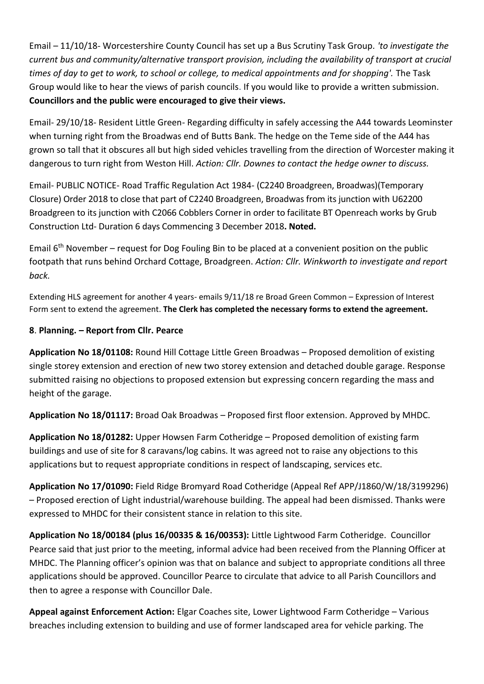Email – 11/10/18- Worcestershire County Council has set up a Bus Scrutiny Task Group. *'to investigate the current bus and community/alternative transport provision, including the availability of transport at crucial times of day to get to work, to school or college, to medical appointments and for shopping'.* The Task Group would like to hear the views of parish councils. If you would like to provide a written submission. **Councillors and the public were encouraged to give their views.**

Email- 29/10/18- Resident Little Green- Regarding difficulty in safely accessing the A44 towards Leominster when turning right from the Broadwas end of Butts Bank. The hedge on the Teme side of the A44 has grown so tall that it obscures all but high sided vehicles travelling from the direction of Worcester making it dangerous to turn right from Weston Hill. *Action: Cllr. Downes to contact the hedge owner to discuss.*

Email- PUBLIC NOTICE- Road Traffic Regulation Act 1984- (C2240 Broadgreen, Broadwas)(Temporary Closure) Order 2018 to close that part of C2240 Broadgreen, Broadwas from its junction with U62200 Broadgreen to its junction with C2066 Cobblers Corner in order to facilitate BT Openreach works by Grub Construction Ltd- Duration 6 days Commencing 3 December 2018**. Noted.**

Email  $6<sup>th</sup>$  November – request for Dog Fouling Bin to be placed at a convenient position on the public footpath that runs behind Orchard Cottage, Broadgreen. *Action: Cllr. Winkworth to investigate and report back.*

Extending HLS agreement for another 4 years- emails 9/11/18 re Broad Green Common – Expression of Interest Form sent to extend the agreement. **The Clerk has completed the necessary forms to extend the agreement.**

## **8**. **Planning. – Report from Cllr. Pearce**

**Application No 18/01108:** Round Hill Cottage Little Green Broadwas – Proposed demolition of existing single storey extension and erection of new two storey extension and detached double garage. Response submitted raising no objections to proposed extension but expressing concern regarding the mass and height of the garage.

**Application No 18/01117:** Broad Oak Broadwas – Proposed first floor extension. Approved by MHDC.

**Application No 18/01282:** Upper Howsen Farm Cotheridge – Proposed demolition of existing farm buildings and use of site for 8 caravans/log cabins. It was agreed not to raise any objections to this applications but to request appropriate conditions in respect of landscaping, services etc.

**Application No 17/01090:** Field Ridge Bromyard Road Cotheridge (Appeal Ref APP/J1860/W/18/3199296) – Proposed erection of Light industrial/warehouse building. The appeal had been dismissed. Thanks were expressed to MHDC for their consistent stance in relation to this site.

**Application No 18/00184 (plus 16/00335 & 16/00353):** Little Lightwood Farm Cotheridge. Councillor Pearce said that just prior to the meeting, informal advice had been received from the Planning Officer at MHDC. The Planning officer's opinion was that on balance and subject to appropriate conditions all three applications should be approved. Councillor Pearce to circulate that advice to all Parish Councillors and then to agree a response with Councillor Dale.

**Appeal against Enforcement Action:** Elgar Coaches site, Lower Lightwood Farm Cotheridge – Various breaches including extension to building and use of former landscaped area for vehicle parking. The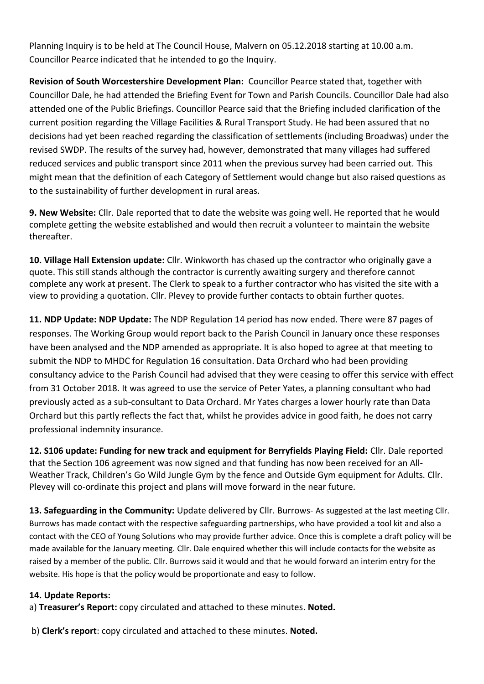Planning Inquiry is to be held at The Council House, Malvern on 05.12.2018 starting at 10.00 a.m. Councillor Pearce indicated that he intended to go the Inquiry.

**Revision of South Worcestershire Development Plan:** Councillor Pearce stated that, together with Councillor Dale, he had attended the Briefing Event for Town and Parish Councils. Councillor Dale had also attended one of the Public Briefings. Councillor Pearce said that the Briefing included clarification of the current position regarding the Village Facilities & Rural Transport Study. He had been assured that no decisions had yet been reached regarding the classification of settlements (including Broadwas) under the revised SWDP. The results of the survey had, however, demonstrated that many villages had suffered reduced services and public transport since 2011 when the previous survey had been carried out. This might mean that the definition of each Category of Settlement would change but also raised questions as to the sustainability of further development in rural areas.

**9. New Website:** Cllr. Dale reported that to date the website was going well. He reported that he would complete getting the website established and would then recruit a volunteer to maintain the website thereafter.

**10. Village Hall Extension update:** Cllr. Winkworth has chased up the contractor who originally gave a quote. This still stands although the contractor is currently awaiting surgery and therefore cannot complete any work at present. The Clerk to speak to a further contractor who has visited the site with a view to providing a quotation. Cllr. Plevey to provide further contacts to obtain further quotes.

**11. NDP Update: NDP Update:** The NDP Regulation 14 period has now ended. There were 87 pages of responses. The Working Group would report back to the Parish Council in January once these responses have been analysed and the NDP amended as appropriate. It is also hoped to agree at that meeting to submit the NDP to MHDC for Regulation 16 consultation. Data Orchard who had been providing consultancy advice to the Parish Council had advised that they were ceasing to offer this service with effect from 31 October 2018. It was agreed to use the service of Peter Yates, a planning consultant who had previously acted as a sub-consultant to Data Orchard. Mr Yates charges a lower hourly rate than Data Orchard but this partly reflects the fact that, whilst he provides advice in good faith, he does not carry professional indemnity insurance.

**12. S106 update: Funding for new track and equipment for Berryfields Playing Field:** Cllr. Dale reported that the Section 106 agreement was now signed and that funding has now been received for an All-Weather Track, Children's Go Wild Jungle Gym by the fence and Outside Gym equipment for Adults. Cllr. Plevey will co-ordinate this project and plans will move forward in the near future.

**13. Safeguarding in the Community:** Update delivered by Cllr. Burrows- As suggested at the last meeting Cllr. Burrows has made contact with the respective safeguarding partnerships, who have provided a tool kit and also a contact with the CEO of Young Solutions who may provide further advice. Once this is complete a draft policy will be made available for the January meeting. Cllr. Dale enquired whether this will include contacts for the website as raised by a member of the public. Cllr. Burrows said it would and that he would forward an interim entry for the website. His hope is that the policy would be proportionate and easy to follow.

## **14. Update Reports:**

a) **Treasurer's Report:** copy circulated and attached to these minutes. **Noted.**

b) **Clerk's report**: copy circulated and attached to these minutes. **Noted.**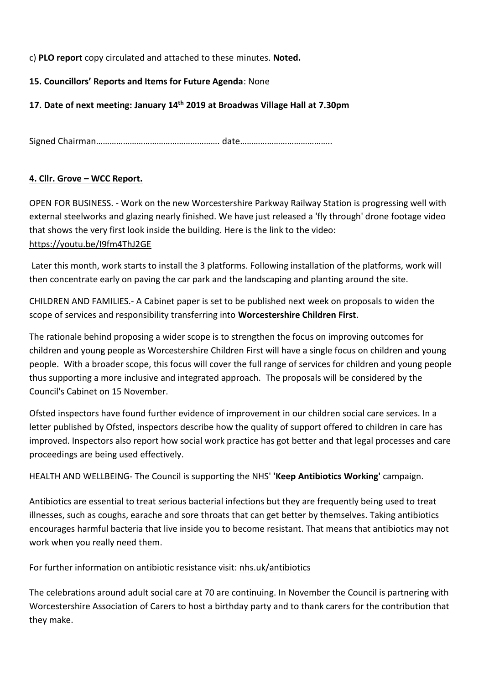c) **PLO report** copy circulated and attached to these minutes. **Noted.**

## **15. Councillors' Reports and Items for Future Agenda**: None

## **17. Date of next meeting: January 14 th 2019 at Broadwas Village Hall at 7.30pm**

Signed Chairman………………………………………………. date…………………………………..

## **4. Cllr. Grove – WCC Report.**

OPEN FOR BUSINESS. - Work on the new Worcestershire Parkway Railway Station is progressing well with external steelworks and glazing nearly finished. We have just released a 'fly through' drone footage video that shows the very first look inside the building. Here is the link to the video: <https://youtu.be/I9fm4ThJ2GE>

Later this month, work starts to install the 3 platforms. Following installation of the platforms, work will then concentrate early on paving the car park and the landscaping and planting around the site.

CHILDREN AND FAMILIES.- A Cabinet paper is set to be published next week on proposals to widen the scope of services and responsibility transferring into **Worcestershire Children First**.

The rationale behind proposing a wider scope is to strengthen the focus on improving outcomes for children and young people as Worcestershire Children First will have a single focus on children and young people. With a broader scope, this focus will cover the full range of services for children and young people thus supporting a more inclusive and integrated approach. The proposals will be considered by the Council's Cabinet on 15 November.

Ofsted inspectors have found further evidence of improvement in our children social care services. In a letter published by Ofsted, inspectors describe how the quality of support offered to children in care has improved. Inspectors also report how social work practice has got better and that legal processes and care proceedings are being used effectively.

HEALTH AND WELLBEING- The Council is supporting the NHS' **'Keep Antibiotics Working'** campaign.

Antibiotics are essential to treat serious bacterial infections but they are frequently being used to treat illnesses, such as coughs, earache and sore throats that can get better by themselves. Taking antibiotics encourages harmful bacteria that live inside you to become resistant. That means that antibiotics may not work when you really need them.

For further information on antibiotic resistance visit: [nhs.uk/antibiotics](https://www.nhs.uk/conditions/antibiotics/)

The celebrations around adult social care at 70 are continuing. In November the Council is partnering with Worcestershire Association of Carers to host a birthday party and to thank carers for the contribution that they make.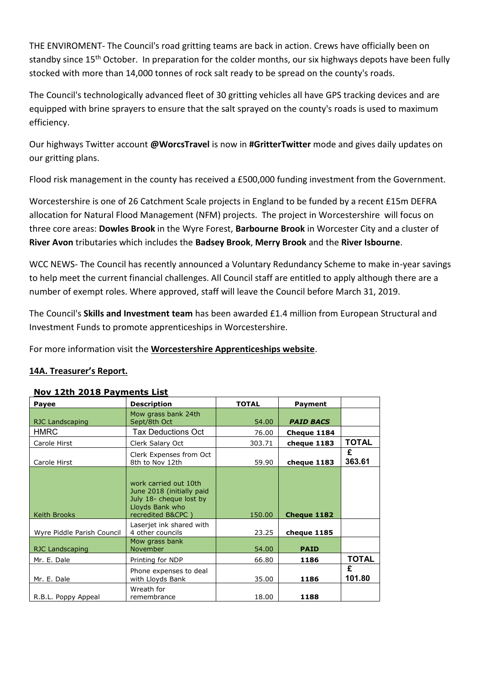THE ENVIROMENT- The Council's road gritting teams are back in action. Crews have officially been on standby since 15<sup>th</sup> October. In preparation for the colder months, our six highways depots have been fully stocked with more than 14,000 tonnes of rock salt ready to be spread on the county's roads.

The Council's technologically advanced fleet of 30 gritting vehicles all have GPS tracking devices and are equipped with brine sprayers to ensure that the salt sprayed on the county's roads is used to maximum efficiency.

Our highways Twitter account **@WorcsTravel** is now in **#GritterTwitter** mode and gives daily updates on our gritting plans.

Flood risk management in the county has received a £500,000 funding investment from the Government.

Worcestershire is one of 26 Catchment Scale projects in England to be funded by a recent £15m DEFRA allocation for Natural Flood Management (NFM) projects. The project in Worcestershire will focus on three core areas: **Dowles Brook** in the Wyre Forest, **Barbourne Brook** in Worcester City and a cluster of **River Avon** tributaries which includes the **Badsey Brook**, **Merry Brook** and the **River Isbourne**.

WCC NEWS- The Council has recently announced a Voluntary Redundancy Scheme to make in-year savings to help meet the current financial challenges. All Council staff are entitled to apply although there are a number of exempt roles. Where approved, staff will leave the Council before March 31, 2019.

The Council's **Skills and Investment team** has been awarded £1.4 million from European Structural and Investment Funds to promote apprenticeships in Worcestershire.

For more information visit the **[Worcestershire Apprenticeships website](http://worcsapprenticeships.org.uk/)**.

## **14A. Treasurer's Report.**

| Payee                      | <b>Description</b>                                                                                                    | <b>TOTAL</b> | Payment          |              |
|----------------------------|-----------------------------------------------------------------------------------------------------------------------|--------------|------------------|--------------|
| RJC Landscaping            | Mow grass bank 24th<br>Sept/8th Oct                                                                                   | 54.00        | <b>PAID BACS</b> |              |
| <b>HMRC</b>                | Tax Deductions Oct                                                                                                    | 76.00        | Cheque 1184      |              |
| Carole Hirst               | Clerk Salary Oct                                                                                                      | 303.71       | cheque 1183      | <b>TOTAL</b> |
| Carole Hirst               | Clerk Expenses from Oct<br>8th to Nov 12th                                                                            | 59.90        | cheque 1183      | £<br>363.61  |
| <b>Keith Brooks</b>        | work carried out 10th<br>June 2018 (initially paid<br>July 18- cheque lost by<br>Lloyds Bank who<br>recredited B&CPC) | 150.00       | Cheque 1182      |              |
| Wyre Piddle Parish Council | Laserjet ink shared with<br>4 other councils                                                                          | 23.25        | cheque 1185      |              |
| RJC Landscaping            | Mow grass bank<br>November                                                                                            | 54.00        | <b>PAID</b>      |              |
| Mr. E. Dale                | Printing for NDP                                                                                                      | 66.80        | 1186             | <b>TOTAL</b> |
| Mr. E. Dale                | Phone expenses to deal<br>with Lloyds Bank                                                                            | 35.00        | 1186             | £<br>101.80  |
| R.B.L. Poppy Appeal        | Wreath for<br>remembrance                                                                                             | 18.00        | 1188             |              |

#### **Nov 12th 2018 Payments List**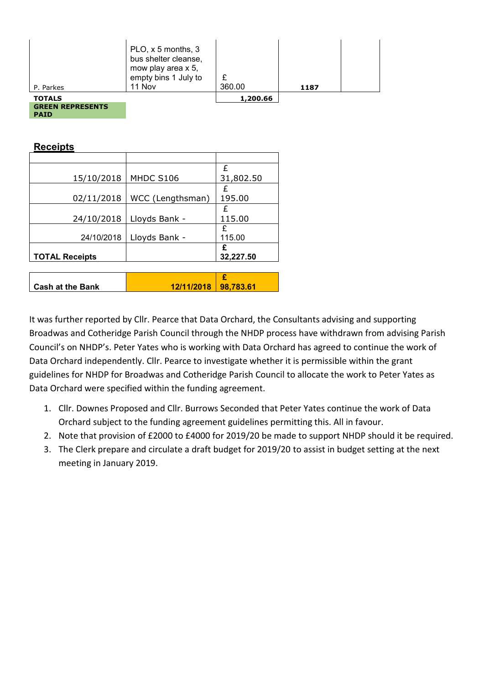| <b>GREEN REPRESENTS</b><br><b>PAID</b> |                                                                                                    |          |      |  |
|----------------------------------------|----------------------------------------------------------------------------------------------------|----------|------|--|
| <b>TOTALS</b>                          |                                                                                                    | 1,200.66 |      |  |
| P. Parkes                              | PLO, x 5 months, 3<br>bus shelter cleanse,<br>mow play area x 5,<br>empty bins 1 July to<br>11 Nov | 360.00   | 1187 |  |

**Receipts**

|                         |                  | £         |
|-------------------------|------------------|-----------|
| 15/10/2018              | MHDC S106        | 31,802.50 |
|                         |                  |           |
| 02/11/2018              | WCC (Lengthsman) | 195.00    |
|                         |                  | £         |
| 24/10/2018              | Lloyds Bank -    | 115.00    |
|                         |                  | £         |
| 24/10/2018              | Lloyds Bank -    | 115.00    |
|                         |                  | £         |
| <b>TOTAL Receipts</b>   |                  | 32,227.50 |
|                         |                  |           |
|                         |                  | £         |
| <b>Cash at the Bank</b> | 12/11/2018       | 98,783.61 |

It was further reported by Cllr. Pearce that Data Orchard, the Consultants advising and supporting Broadwas and Cotheridge Parish Council through the NHDP process have withdrawn from advising Parish Council's on NHDP's. Peter Yates who is working with Data Orchard has agreed to continue the work of Data Orchard independently. Cllr. Pearce to investigate whether it is permissible within the grant guidelines for NHDP for Broadwas and Cotheridge Parish Council to allocate the work to Peter Yates as Data Orchard were specified within the funding agreement.

- 1. Cllr. Downes Proposed and Cllr. Burrows Seconded that Peter Yates continue the work of Data Orchard subject to the funding agreement guidelines permitting this. All in favour.
- 2. Note that provision of £2000 to £4000 for 2019/20 be made to support NHDP should it be required.
- 3. The Clerk prepare and circulate a draft budget for 2019/20 to assist in budget setting at the next meeting in January 2019.